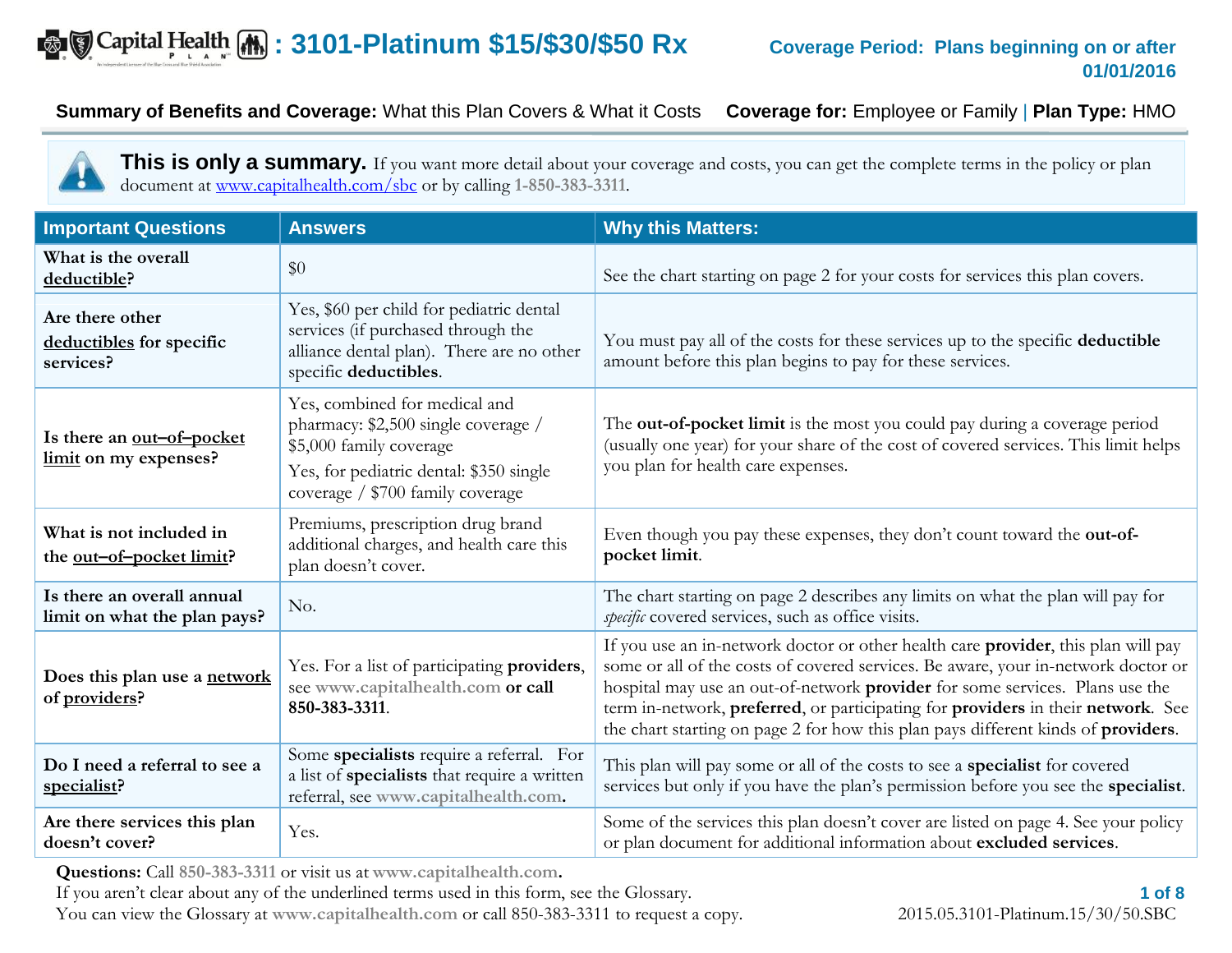# **Example 20 Aprical Health (A) : 3101-Platinum \$15/\$30/\$50 Rx** Coverage Period: Plans beginning on or after

 $\mathbf{r}$ 

**Summary of Benefits and Coverage:** What this Plan Covers & What it Costs **Coverage for:** Employee or Family | **Plan Type:** HMO

**This is only a summary.** If you want more detail about your coverage and costs, you can get the complete terms in the policy or plan document at [www.capitalhealth.com/sbc](http://www.capitalhealth.com/sbc) or by calling **1-850-383-3311**.

| <b>Important Questions</b>                                  | <b>Answers</b>                                                                                                                                                                 | <b>Why this Matters:</b>                                                                                                                                                                                                                                                                                                                                                                                                        |  |  |
|-------------------------------------------------------------|--------------------------------------------------------------------------------------------------------------------------------------------------------------------------------|---------------------------------------------------------------------------------------------------------------------------------------------------------------------------------------------------------------------------------------------------------------------------------------------------------------------------------------------------------------------------------------------------------------------------------|--|--|
| What is the overall<br>deductible?                          | \$0                                                                                                                                                                            | See the chart starting on page 2 for your costs for services this plan covers.                                                                                                                                                                                                                                                                                                                                                  |  |  |
| Are there other<br>deductibles for specific<br>services?    | Yes, \$60 per child for pediatric dental<br>services (if purchased through the<br>alliance dental plan). There are no other<br>specific deductibles.                           | You must pay all of the costs for these services up to the specific deductible<br>amount before this plan begins to pay for these services.                                                                                                                                                                                                                                                                                     |  |  |
| Is there an <u>out-of-pocket</u><br>limit on my expenses?   | Yes, combined for medical and<br>pharmacy: \$2,500 single coverage /<br>\$5,000 family coverage<br>Yes, for pediatric dental: \$350 single<br>coverage / \$700 family coverage | The out-of-pocket limit is the most you could pay during a coverage period<br>(usually one year) for your share of the cost of covered services. This limit helps<br>you plan for health care expenses.                                                                                                                                                                                                                         |  |  |
| What is not included in<br>the <u>out-of-pocket limit</u> ? | Premiums, prescription drug brand<br>additional charges, and health care this<br>plan doesn't cover.                                                                           | Even though you pay these expenses, they don't count toward the out-of-<br>pocket limit.                                                                                                                                                                                                                                                                                                                                        |  |  |
| Is there an overall annual<br>limit on what the plan pays?  | No.                                                                                                                                                                            | The chart starting on page 2 describes any limits on what the plan will pay for<br>specific covered services, such as office visits.                                                                                                                                                                                                                                                                                            |  |  |
| Does this plan use a network<br>of providers?               | Yes. For a list of participating providers,<br>see www.capitalhealth.com or call<br>850-383-3311.                                                                              | If you use an in-network doctor or other health care provider, this plan will pay<br>some or all of the costs of covered services. Be aware, your in-network doctor or<br>hospital may use an out-of-network provider for some services. Plans use the<br>term in-network, preferred, or participating for providers in their network. See<br>the chart starting on page 2 for how this plan pays different kinds of providers. |  |  |
| Do I need a referral to see a<br>specialist?                | Some specialists require a referral. For<br>a list of specialists that require a written<br>referral, see www.capitalhealth.com.                                               | This plan will pay some or all of the costs to see a specialist for covered<br>services but only if you have the plan's permission before you see the specialist.                                                                                                                                                                                                                                                               |  |  |
| Are there services this plan<br>doesn't cover?              | Yes.                                                                                                                                                                           | Some of the services this plan doesn't cover are listed on page 4. See your policy<br>or plan document for additional information about excluded services.                                                                                                                                                                                                                                                                      |  |  |

**Questions:** Call **850-383-3311** or visit us at **www.capitalhealth.com.**

If you aren't clear about any of the underlined terms used in this form, see the Glossary.

You can view the Glossary at **www.capitalhealth.com** or call 850-383-3311 to request a copy. 2015.05.3101-Platinum.15/30/50.SBC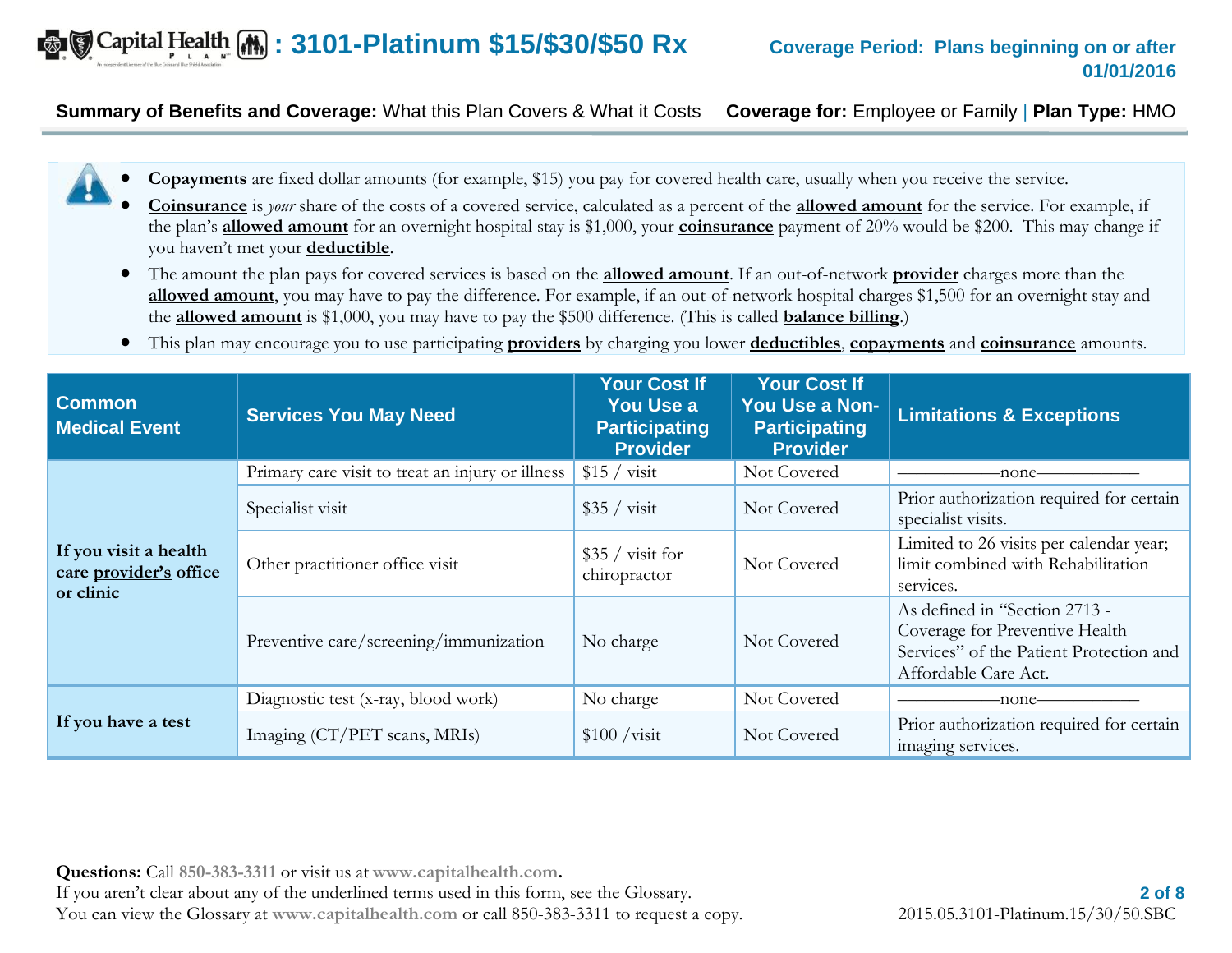## **Example 20** Capital Health (A): 3101-Platinum \$15/\$30/\$50 Rx Coverage Period: Plans beginning on or after

# **01/01/2016**

#### **Summary of Benefits and Coverage:** What this Plan Covers & What it Costs **Coverage for:** Employee or Family | **Plan Type:** HMO

- **Copayments** are fixed dollar amounts (for example, \$15) you pay for covered health care, usually when you receive the service.
- **Coinsurance** is *your* share of the costs of a covered service, calculated as a percent of the **allowed amount** for the service. For example, if the plan's **allowed amount** for an overnight hospital stay is \$1,000, your **coinsurance** payment of 20% would be \$200. This may change if you haven't met your **deductible**.
- The amount the plan pays for covered services is based on the **allowed amount**. If an out-of-network **provider** charges more than the **allowed amount**, you may have to pay the difference. For example, if an out-of-network hospital charges \$1,500 for an overnight stay and the **allowed amount** is \$1,000, you may have to pay the \$500 difference. (This is called **balance billing**.)
- This plan may encourage you to use participating **providers** by charging you lower **deductibles**, **copayments** and **coinsurance** amounts.

| <b>Common</b><br><b>Medical Event</b>                        | <b>Services You May Need</b>                     | <b>Your Cost If</b><br><b>You Use a</b><br><b>Participating</b><br><b>Provider</b> | <b>Your Cost If</b><br>You Use a Non-<br><b>Participating</b><br><b>Provider</b> | <b>Limitations &amp; Exceptions</b>                                                                                                |
|--------------------------------------------------------------|--------------------------------------------------|------------------------------------------------------------------------------------|----------------------------------------------------------------------------------|------------------------------------------------------------------------------------------------------------------------------------|
|                                                              | Primary care visit to treat an injury or illness | $$15 / \text{visit}$                                                               | Not Covered                                                                      | -none-                                                                                                                             |
|                                                              | Specialist visit                                 | $$35 / \text{visit}$                                                               | Not Covered                                                                      | Prior authorization required for certain<br>specialist visits.                                                                     |
| If you visit a health<br>care provider's office<br>or clinic | Other practitioner office visit                  | $$35 / \text{visit}$ for<br>chiropractor                                           | Not Covered                                                                      | Limited to 26 visits per calendar year;<br>limit combined with Rehabilitation<br>services.                                         |
|                                                              | Preventive care/screening/immunization           | No charge                                                                          | Not Covered                                                                      | As defined in "Section 2713 -<br>Coverage for Preventive Health<br>Services" of the Patient Protection and<br>Affordable Care Act. |
|                                                              | Diagnostic test (x-ray, blood work)              | No charge                                                                          | Not Covered                                                                      | -none-                                                                                                                             |
| If you have a test                                           | Imaging (CT/PET scans, MRIs)                     | $$100 / \text{visit}$                                                              | Not Covered                                                                      | Prior authorization required for certain<br>imaging services.                                                                      |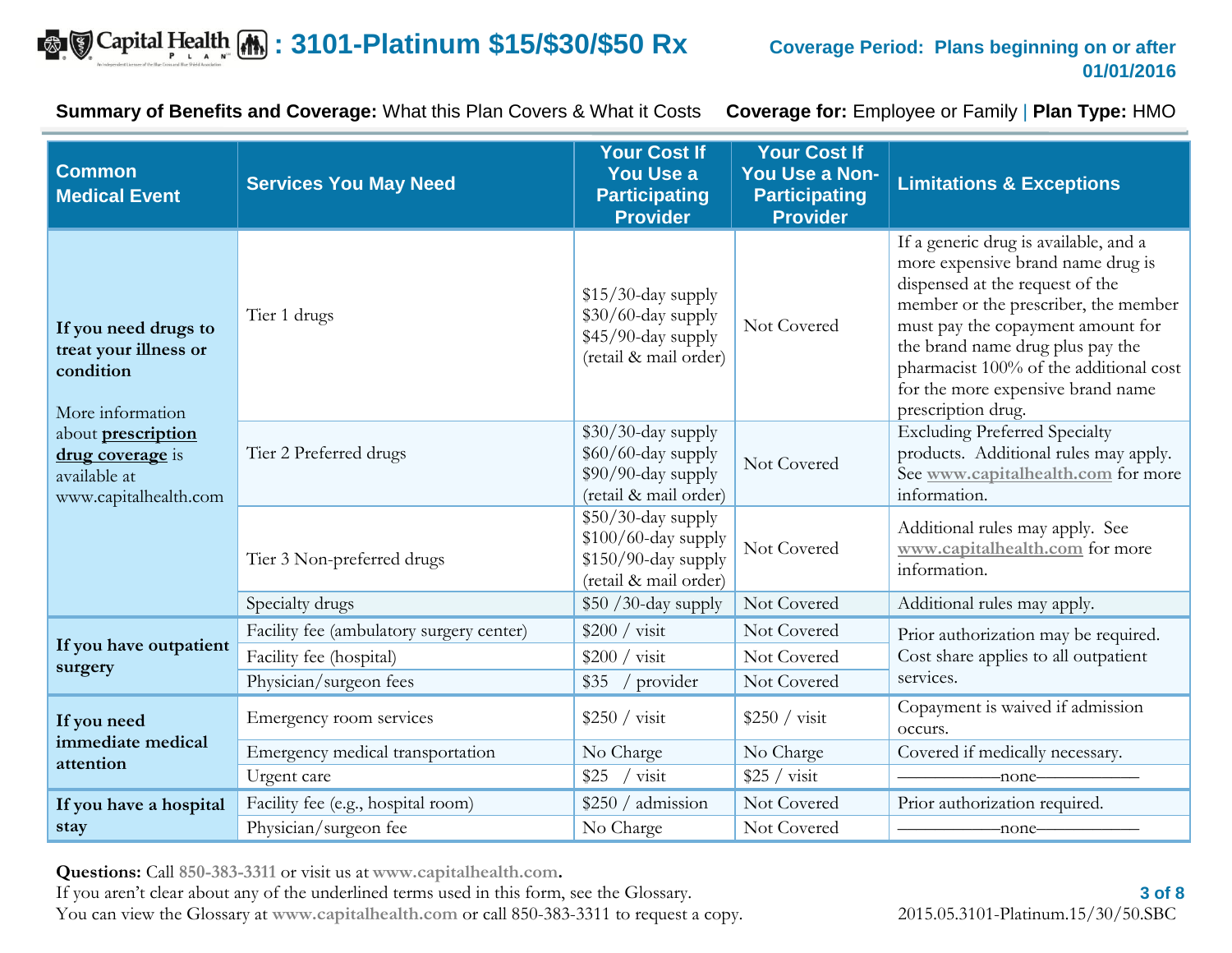## $\bullet$   $\bullet$  Capital Health  $\bullet$  : 3101-Platinum \$15/\$30/\$50 Rx Coverage Period: Plans beginning on or after

**Summary of Benefits and Coverage:** What this Plan Covers & What it Costs **Coverage for:** Employee or Family | **Plan Type:** HMO

| <b>Common</b><br><b>Medical Event</b>                                                  | <b>Services You May Need</b>             | <b>Your Cost If</b><br><b>You Use a</b><br><b>Participating</b><br><b>Provider</b>          | <b>Your Cost If</b><br>You Use a Non-<br><b>Participating</b><br><b>Provider</b> | <b>Limitations &amp; Exceptions</b>                                                                                                                                                                                                                                                                                                 |
|----------------------------------------------------------------------------------------|------------------------------------------|---------------------------------------------------------------------------------------------|----------------------------------------------------------------------------------|-------------------------------------------------------------------------------------------------------------------------------------------------------------------------------------------------------------------------------------------------------------------------------------------------------------------------------------|
| If you need drugs to<br>treat your illness or<br>condition<br>More information         | Tier 1 drugs                             | $$15/30$ -day supply<br>\$30/60-day supply<br>\$45/90-day supply<br>(retail & mail order)   | Not Covered                                                                      | If a generic drug is available, and a<br>more expensive brand name drug is<br>dispensed at the request of the<br>member or the prescriber, the member<br>must pay the copayment amount for<br>the brand name drug plus pay the<br>pharmacist 100% of the additional cost<br>for the more expensive brand name<br>prescription drug. |
| about <b>prescription</b><br>drug coverage is<br>available at<br>www.capitalhealth.com | Tier 2 Preferred drugs                   | $$30/30$ -day supply<br>\$60/60-day supply<br>\$90/90-day supply<br>(retail & mail order)   | Not Covered                                                                      | <b>Excluding Preferred Specialty</b><br>products. Additional rules may apply.<br>See www.capitalhealth.com for more<br>information.                                                                                                                                                                                                 |
|                                                                                        | Tier 3 Non-preferred drugs               | \$50/30-day supply<br>\$100/60-day supply<br>$$150/90$ -day supply<br>(retail & mail order) | Not Covered                                                                      | Additional rules may apply. See<br>www.capitalhealth.com for more<br>information.                                                                                                                                                                                                                                                   |
|                                                                                        | Specialty drugs                          | \$50 /30-day supply                                                                         | Not Covered                                                                      | Additional rules may apply.                                                                                                                                                                                                                                                                                                         |
|                                                                                        | Facility fee (ambulatory surgery center) | \$200 / vist                                                                                | Not Covered                                                                      | Prior authorization may be required.                                                                                                                                                                                                                                                                                                |
| If you have outpatient<br>surgery                                                      | Facility fee (hospital)                  | $$200 / \text{visit}$                                                                       | Not Covered                                                                      | Cost share applies to all outpatient                                                                                                                                                                                                                                                                                                |
|                                                                                        | Physician/surgeon fees                   | / provider<br>\$35                                                                          | Not Covered                                                                      | services.                                                                                                                                                                                                                                                                                                                           |
| If you need                                                                            | Emergency room services                  | $$250 / \text{visit}$                                                                       | $$250 / \text{visit}$                                                            | Copayment is waived if admission<br>occurs.                                                                                                                                                                                                                                                                                         |
| immediate medical<br>attention                                                         | Emergency medical transportation         | No Charge                                                                                   | No Charge                                                                        | Covered if medically necessary.                                                                                                                                                                                                                                                                                                     |
|                                                                                        | Urgent care                              | visit<br>\$25                                                                               | $$25 / \text{visit}$                                                             | -none-                                                                                                                                                                                                                                                                                                                              |
| If you have a hospital                                                                 | Facility fee (e.g., hospital room)       | \$250 / admission                                                                           | Not Covered                                                                      | Prior authorization required.                                                                                                                                                                                                                                                                                                       |
| stay                                                                                   | Physician/surgeon fee                    | No Charge                                                                                   | Not Covered                                                                      | -none-                                                                                                                                                                                                                                                                                                                              |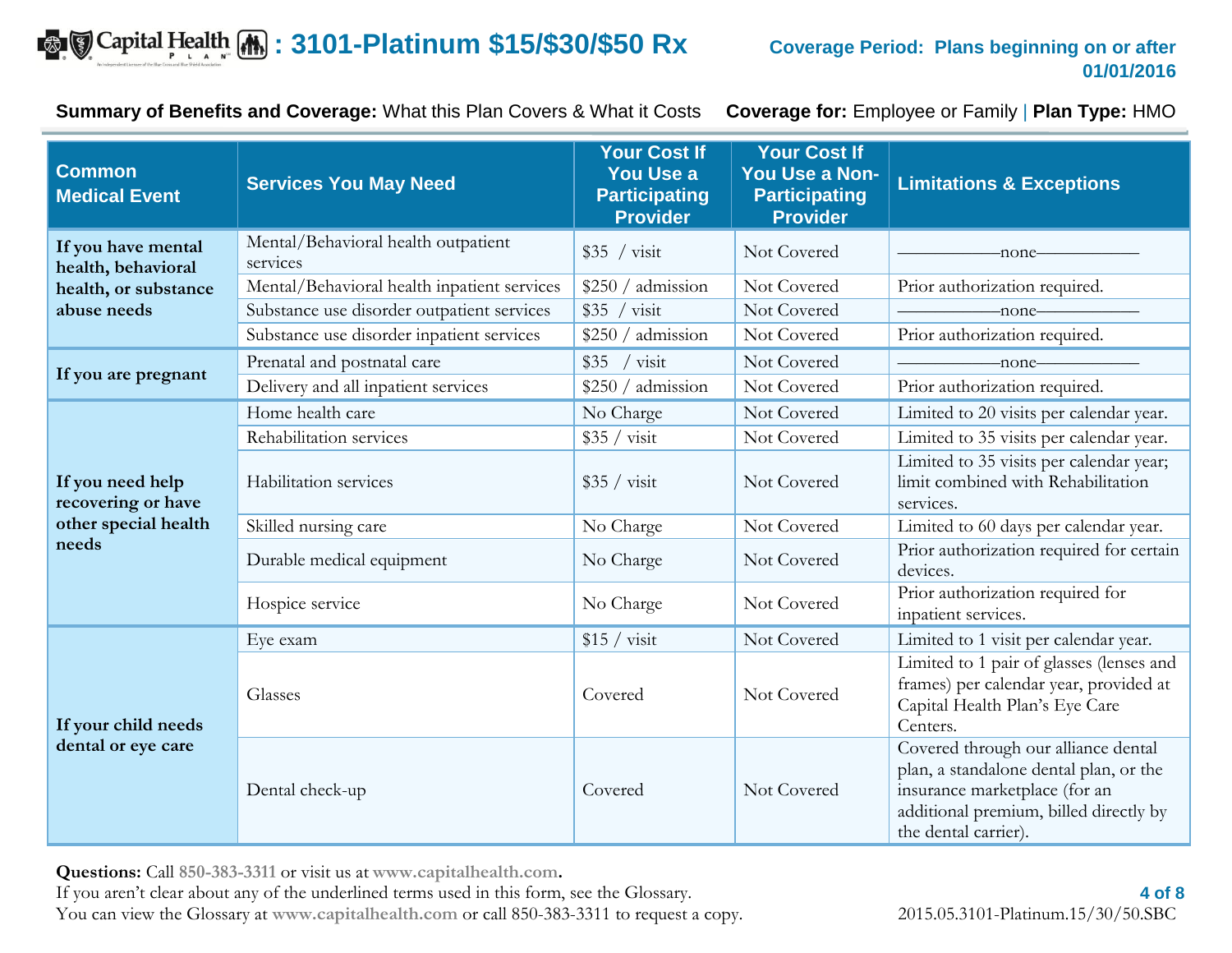## $\bullet$   $\bullet$  Capital Health  $\bullet$  : 3101-Platinum \$15/\$30/\$50 Rx Coverage Period: Plans beginning on or after

**Summary of Benefits and Coverage:** What this Plan Covers & What it Costs **Coverage for:** Employee or Family | **Plan Type:** HMO

| <b>Common</b><br><b>Medical Event</b>     | <b>Services You May Need</b>                    | <b>Your Cost If</b><br><b>You Use a</b><br><b>Participating</b><br><b>Provider</b> | <b>Your Cost If</b><br>You Use a Non-<br><b>Participating</b><br><b>Provider</b> | <b>Limitations &amp; Exceptions</b>                                                                                                                                              |
|-------------------------------------------|-------------------------------------------------|------------------------------------------------------------------------------------|----------------------------------------------------------------------------------|----------------------------------------------------------------------------------------------------------------------------------------------------------------------------------|
| If you have mental<br>health, behavioral  | Mental/Behavioral health outpatient<br>services | $$35 / \text{visit}$                                                               | Not Covered                                                                      | -none-                                                                                                                                                                           |
| health, or substance                      | Mental/Behavioral health inpatient services     | \$250 / admission                                                                  | Not Covered                                                                      | Prior authorization required.                                                                                                                                                    |
| abuse needs                               | Substance use disorder outpatient services      | visit<br>\$35                                                                      | Not Covered                                                                      | -none-                                                                                                                                                                           |
|                                           | Substance use disorder inpatient services       | \$250 / admission                                                                  | Not Covered                                                                      | Prior authorization required.                                                                                                                                                    |
|                                           | Prenatal and postnatal care                     | \$35<br>visit                                                                      | Not Covered                                                                      | -none-                                                                                                                                                                           |
| If you are pregnant                       | Delivery and all inpatient services             | \$250 / admission                                                                  | Not Covered                                                                      | Prior authorization required.                                                                                                                                                    |
|                                           | Home health care                                | No Charge                                                                          | Not Covered                                                                      | Limited to 20 visits per calendar year.                                                                                                                                          |
|                                           | Rehabilitation services                         | $$35 / \text{visit}$                                                               | Not Covered                                                                      | Limited to 35 visits per calendar year.                                                                                                                                          |
| If you need help<br>recovering or have    | Habilitation services                           | $$35 / \text{visit}$                                                               | Not Covered                                                                      | Limited to 35 visits per calendar year;<br>limit combined with Rehabilitation<br>services.                                                                                       |
| other special health                      | Skilled nursing care                            | No Charge                                                                          | Not Covered                                                                      | Limited to 60 days per calendar year.                                                                                                                                            |
| needs                                     | Durable medical equipment                       | No Charge                                                                          | Not Covered                                                                      | Prior authorization required for certain<br>devices.                                                                                                                             |
|                                           | Hospice service                                 | No Charge                                                                          | Not Covered                                                                      | Prior authorization required for<br>inpatient services.                                                                                                                          |
|                                           | Eye exam                                        | $$15 / \text{visit}$                                                               | Not Covered                                                                      | Limited to 1 visit per calendar year.                                                                                                                                            |
| If your child needs<br>dental or eye care | Glasses                                         | Covered                                                                            | Not Covered                                                                      | Limited to 1 pair of glasses (lenses and<br>frames) per calendar year, provided at<br>Capital Health Plan's Eye Care<br>Centers.                                                 |
|                                           | Dental check-up                                 | Covered                                                                            | Not Covered                                                                      | Covered through our alliance dental<br>plan, a standalone dental plan, or the<br>insurance marketplace (for an<br>additional premium, billed directly by<br>the dental carrier). |

**Questions:** Call **850-383-3311** or visit us at **www.capitalhealth.com.**

If you aren't clear about any of the underlined terms used in this form, see the Glossary. You can view the Glossary at **www.capitalhealth.com** or call 850-383-3311 to request a copy. 2015.05.3101-Platinum.15/30/50.SBC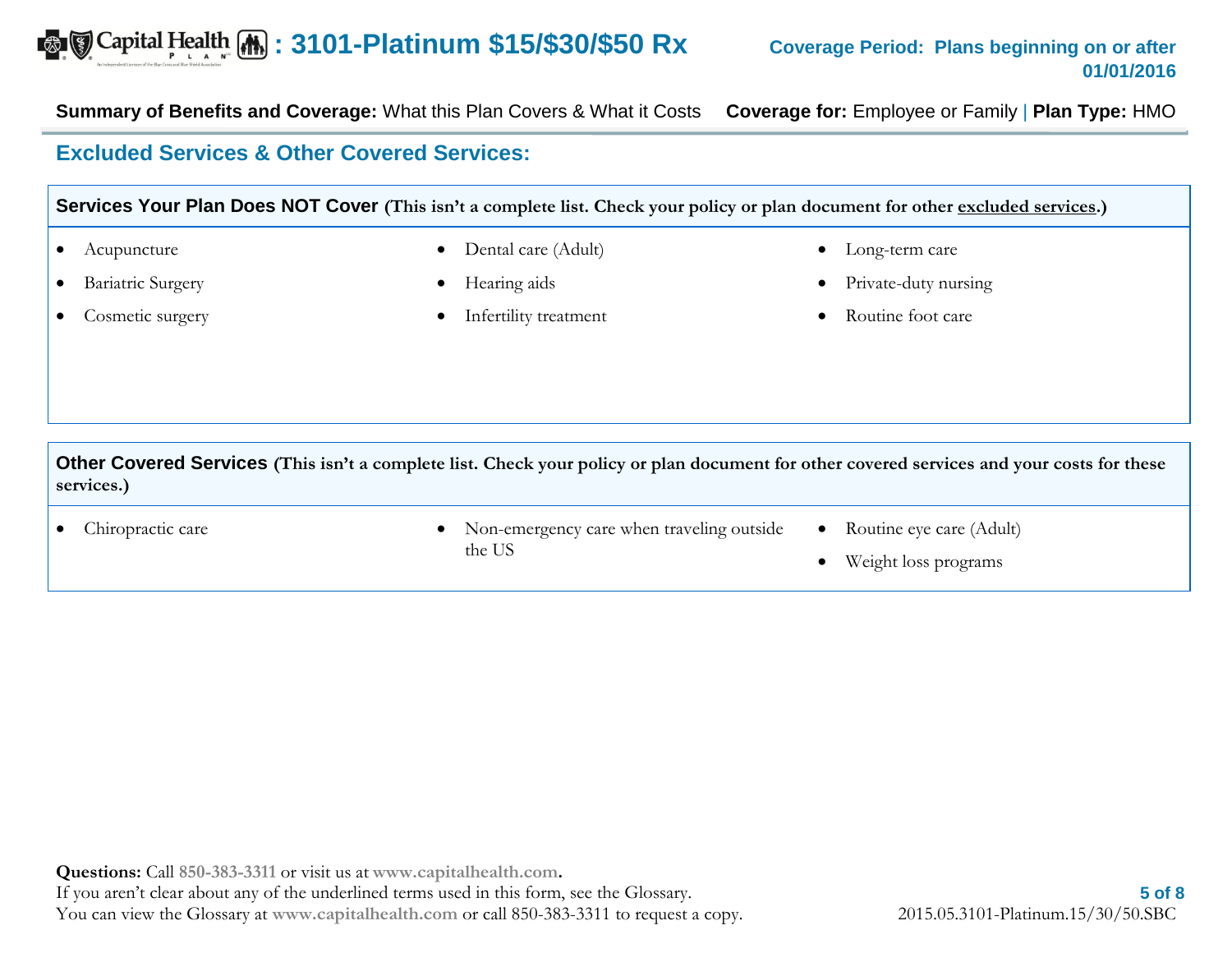**Summary of Benefits and Coverage:** What this Plan Covers & What it Costs **Coverage for:** Employee or Family | **Plan Type:** HMO

### **Excluded Services & Other Covered Services:**

#### **Services Your Plan Does NOT Cover** (This isn't a complete list. Check your policy or plan document for other excluded services.)

- Acupuncture
- Bariatric Surgery
- Cosmetic surgery
- Dental care (Adult)
- Hearing aids
- Infertility treatment
- Long-term care
- Private-duty nursing
- Routine foot care

**Other Covered Services (This isn't a complete list. Check your policy or plan document for other covered services and your costs for these services.)**

- 
- Chiropractic care **Non-emergency care when traveling outside** the US
- Routine eye care (Adult)
- Weight loss programs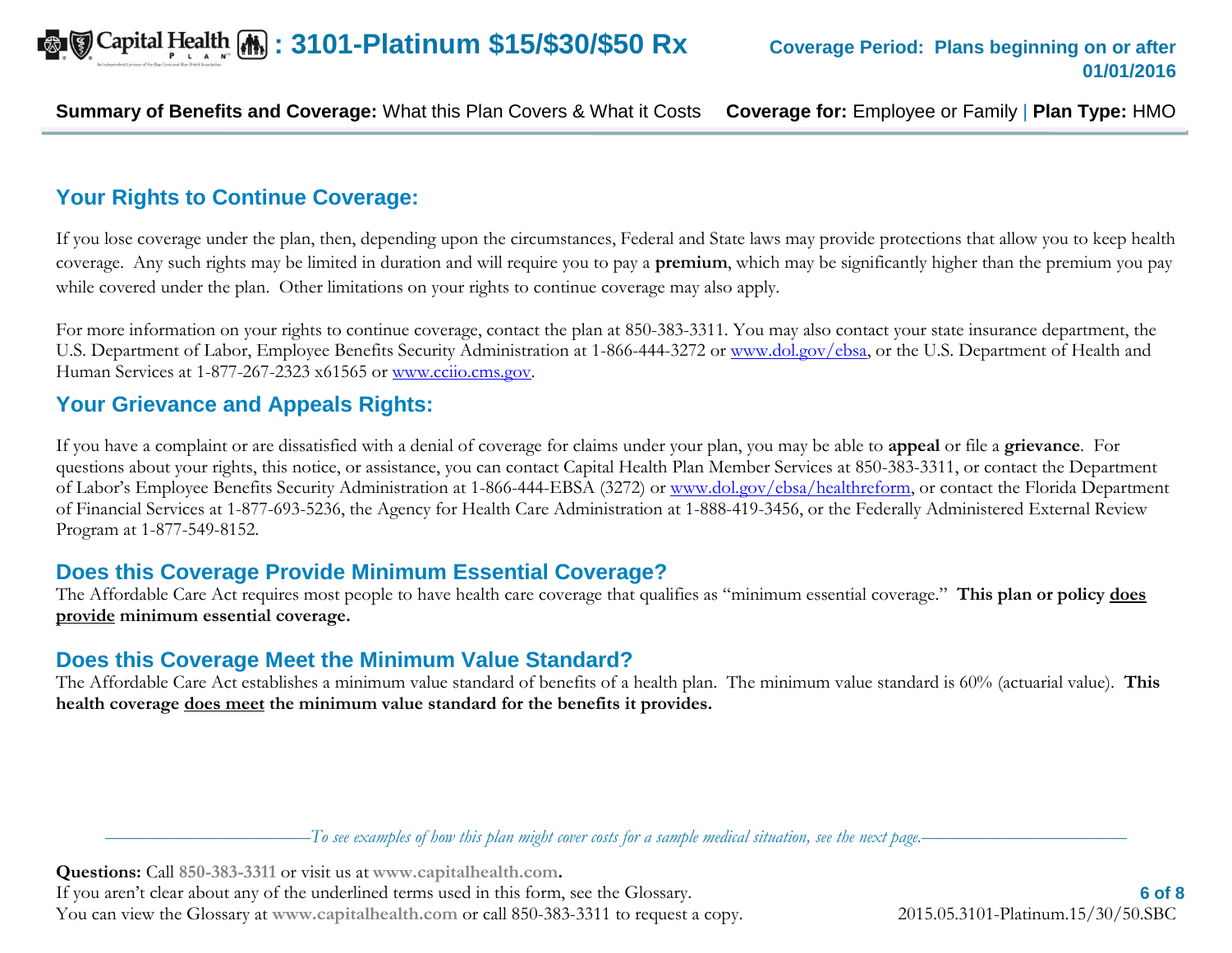**Summary of Benefits and Coverage:** What this Plan Covers & What it Costs **Coverage for:** Employee or Family | **Plan Type:** HMO

## **Your Rights to Continue Coverage:**

If you lose coverage under the plan, then, depending upon the circumstances, Federal and State laws may provide protections that allow you to keep health coverage. Any such rights may be limited in duration and will require you to pay a **premium**, which may be significantly higher than the premium you pay while covered under the plan. Other limitations on your rights to continue coverage may also apply.

For more information on your rights to continue coverage, contact the plan at 850-383-3311. You may also contact your state insurance department, the U.S. Department of Labor, Employee Benefits Security Administration at 1-866-444-3272 or [www.dol.gov/ebsa,](http://www.dol.gov/ebsa) or the U.S. Department of Health and Human Services at 1-877-267-2323 x61565 or www.ccijo.cms.gov.

### **Your Grievance and Appeals Rights:**

If you have a complaint or are dissatisfied with a denial of coverage for claims under your plan, you may be able to **appeal** or file a **grievance**. For questions about your rights, this notice, or assistance, you can contact Capital Health Plan Member Services at 850-383-3311, or contact the Department of Labor's Employee Benefits Security Administration at 1-866-444-EBSA (3272) or [www.dol.gov/ebsa/healthreform,](http://www.dol.gov/ebsa/healthreform) or contact the Florida Department of Financial Services at 1-877-693-5236, the Agency for Health Care Administration at 1-888-419-3456, or the Federally Administered External Review Program at 1-877-549-8152.

### **Does this Coverage Provide Minimum Essential Coverage?**

The Affordable Care Act requires most people to have health care coverage that qualifies as "minimum essential coverage." **This plan or policy does provide minimum essential coverage.** 

## **Does this Coverage Meet the Minimum Value Standard?**

The Affordable Care Act establishes a minimum value standard of benefits of a health plan. The minimum value standard is 60% (actuarial value). **This health coverage does meet the minimum value standard for the benefits it provides.** 

––––––––––––––––––––––*To see examples of how this plan might cover costs for a sample medical situation, see the next page.–––––––––––*–––––––––––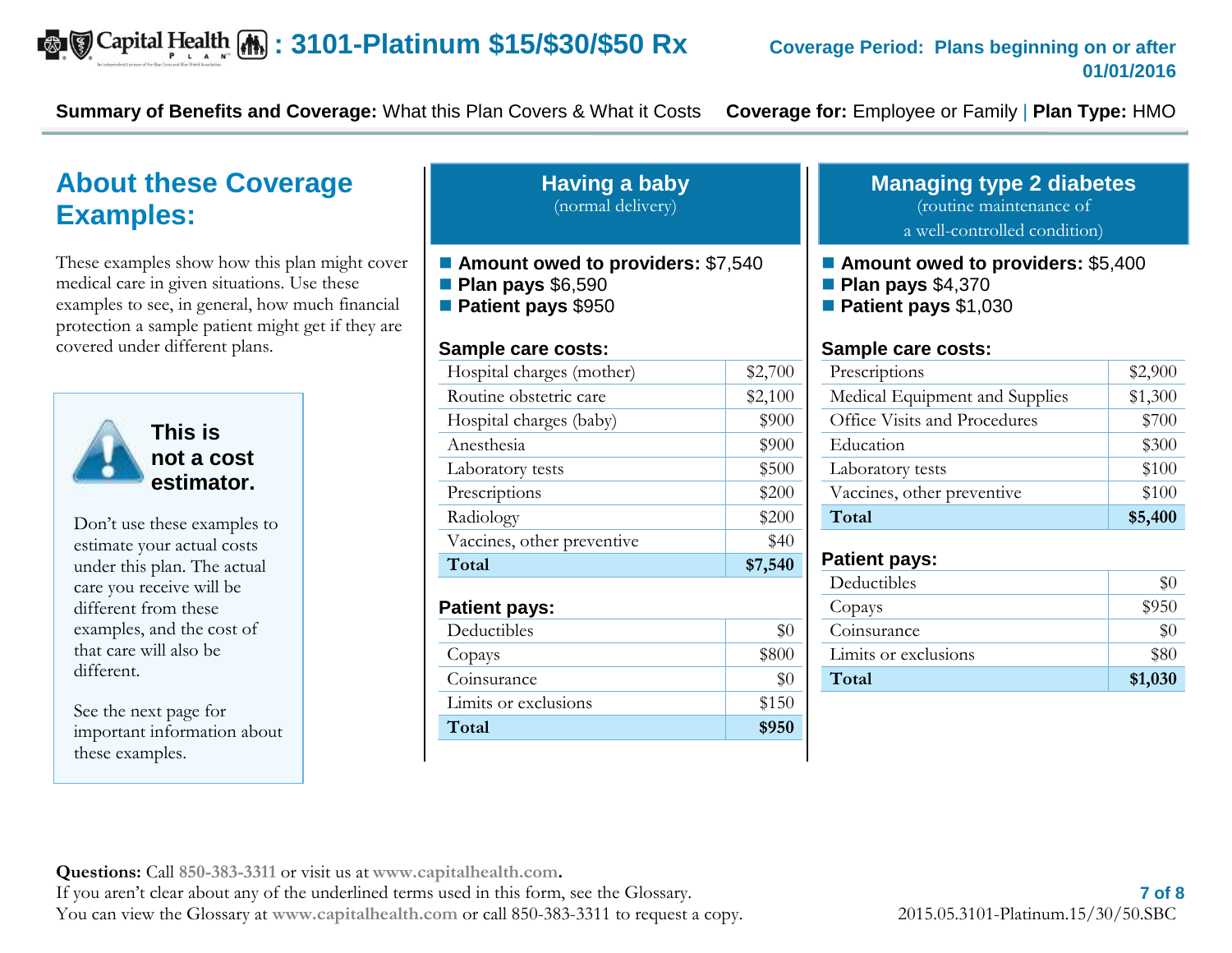**Summary of Benefits and Coverage:** What this Plan Covers & What it Costs **Coverage for:** Employee or Family | **Plan Type:** HMO

## **About these Coverage Examples:**

These examples show how this plan might cover medical care in given situations. Use these examples to see, in general, how much financial protection a sample patient might get if they are covered under different plans.



**not a cost estimator.**  Don't use these examples to

estimate your actual costs under this plan. The actual care you receive will be different from these examples, and the cost of that care will also be different.

See the next page for important information about these examples.

#### **Having a baby** (normal delivery)

- Amount owed to providers: \$7,540
- **Plan pays** \$6,590
- **Patient pays** \$950

#### **Sample care costs:**

| \$2,700<br>Hospital charges (mother)<br>Routine obstetric care<br>\$2,100<br>\$900<br>Hospital charges (baby)<br>\$900<br>Anesthesia<br>\$500<br>Laboratory tests<br>\$200<br>Prescriptions<br>\$200<br>Radiology<br>\$40<br>Vaccines, other preventive<br>Total<br>\$7,540<br><b>Patient pays:</b><br>Deductibles<br>\$0<br>\$800<br>Copays<br>Coinsurance<br>\$0<br>Limits or exclusions<br>\$150<br>Total<br>\$950 |  |
|-----------------------------------------------------------------------------------------------------------------------------------------------------------------------------------------------------------------------------------------------------------------------------------------------------------------------------------------------------------------------------------------------------------------------|--|
|                                                                                                                                                                                                                                                                                                                                                                                                                       |  |
|                                                                                                                                                                                                                                                                                                                                                                                                                       |  |
|                                                                                                                                                                                                                                                                                                                                                                                                                       |  |
|                                                                                                                                                                                                                                                                                                                                                                                                                       |  |
|                                                                                                                                                                                                                                                                                                                                                                                                                       |  |
|                                                                                                                                                                                                                                                                                                                                                                                                                       |  |
|                                                                                                                                                                                                                                                                                                                                                                                                                       |  |
|                                                                                                                                                                                                                                                                                                                                                                                                                       |  |
|                                                                                                                                                                                                                                                                                                                                                                                                                       |  |
|                                                                                                                                                                                                                                                                                                                                                                                                                       |  |
|                                                                                                                                                                                                                                                                                                                                                                                                                       |  |
|                                                                                                                                                                                                                                                                                                                                                                                                                       |  |
|                                                                                                                                                                                                                                                                                                                                                                                                                       |  |
|                                                                                                                                                                                                                                                                                                                                                                                                                       |  |
|                                                                                                                                                                                                                                                                                                                                                                                                                       |  |

### **Managing type 2 diabetes**

(routine maintenance of

a well-controlled condition)

- Amount owed to providers: \$5,400
- **Plan pays** \$4,370
- **Patient pays** \$1,030

#### **Sample care costs:**

| Prescriptions                  | \$2,900 |
|--------------------------------|---------|
| Medical Equipment and Supplies | \$1,300 |
| Office Visits and Procedures   | \$700   |
| Education                      | \$300   |
| Laboratory tests               | \$100   |
| Vaccines, other preventive     | \$100   |
| Total                          | \$5,400 |

#### **Patient pays:**

| Deductibles          |         |
|----------------------|---------|
| Copays               | \$950   |
| Coinsurance          |         |
| Limits or exclusions | \$80    |
| Total                | \$1,030 |